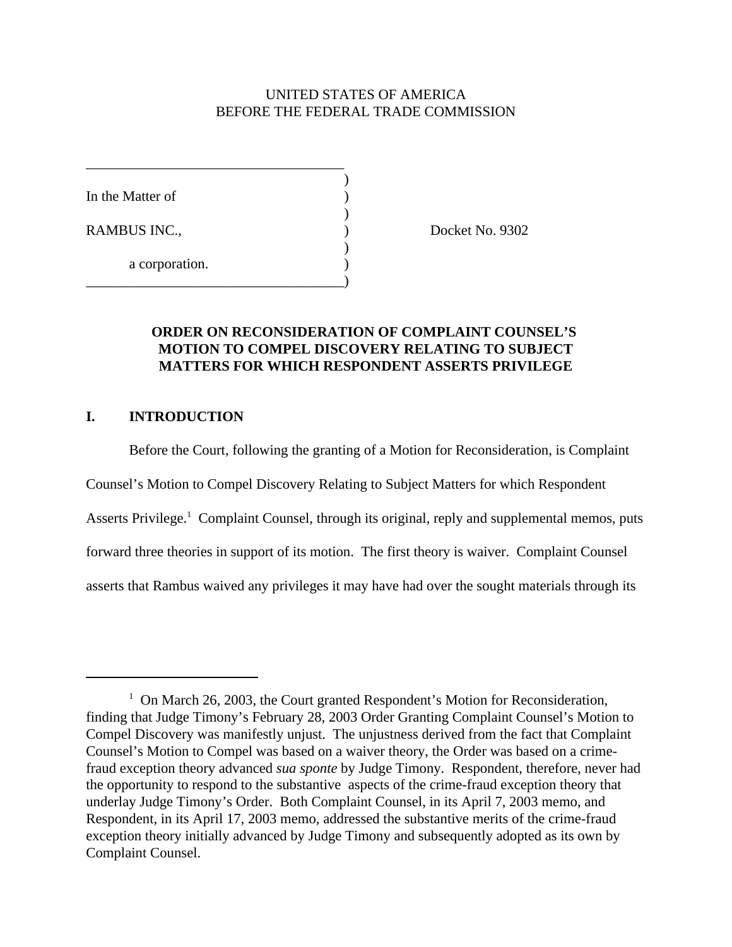# UNITED STATES OF AMERICA BEFORE THE FEDERAL TRADE COMMISSION

)

 $\mathcal{L}$ 

)

In the Matter of  $\qquad \qquad$  )

a corporation.

\_\_\_\_\_\_\_\_\_\_\_\_\_\_\_\_\_\_\_\_\_\_\_\_\_\_\_\_\_\_\_\_\_\_\_\_

\_\_\_\_\_\_\_\_\_\_\_\_\_\_\_\_\_\_\_\_\_\_\_\_\_\_\_\_\_\_\_\_\_\_\_\_)

RAMBUS INC., Docket No. 9302

## **ORDER ON RECONSIDERATION OF COMPLAINT COUNSEL'S MOTION TO COMPEL DISCOVERY RELATING TO SUBJECT MATTERS FOR WHICH RESPONDENT ASSERTS PRIVILEGE**

## **I. INTRODUCTION**

Before the Court, following the granting of a Motion for Reconsideration, is Complaint Counsel's Motion to Compel Discovery Relating to Subject Matters for which Respondent Asserts Privilege.<sup>1</sup> Complaint Counsel, through its original, reply and supplemental memos, puts forward three theories in support of its motion. The first theory is waiver. Complaint Counsel asserts that Rambus waived any privileges it may have had over the sought materials through its

<sup>&</sup>lt;sup>1</sup> On March 26, 2003, the Court granted Respondent's Motion for Reconsideration, finding that Judge Timony's February 28, 2003 Order Granting Complaint Counsel's Motion to Compel Discovery was manifestly unjust. The unjustness derived from the fact that Complaint Counsel's Motion to Compel was based on a waiver theory, the Order was based on a crimefraud exception theory advanced *sua sponte* by Judge Timony. Respondent, therefore, never had the opportunity to respond to the substantive aspects of the crime-fraud exception theory that underlay Judge Timony's Order. Both Complaint Counsel, in its April 7, 2003 memo, and Respondent, in its April 17, 2003 memo, addressed the substantive merits of the crime-fraud exception theory initially advanced by Judge Timony and subsequently adopted as its own by Complaint Counsel.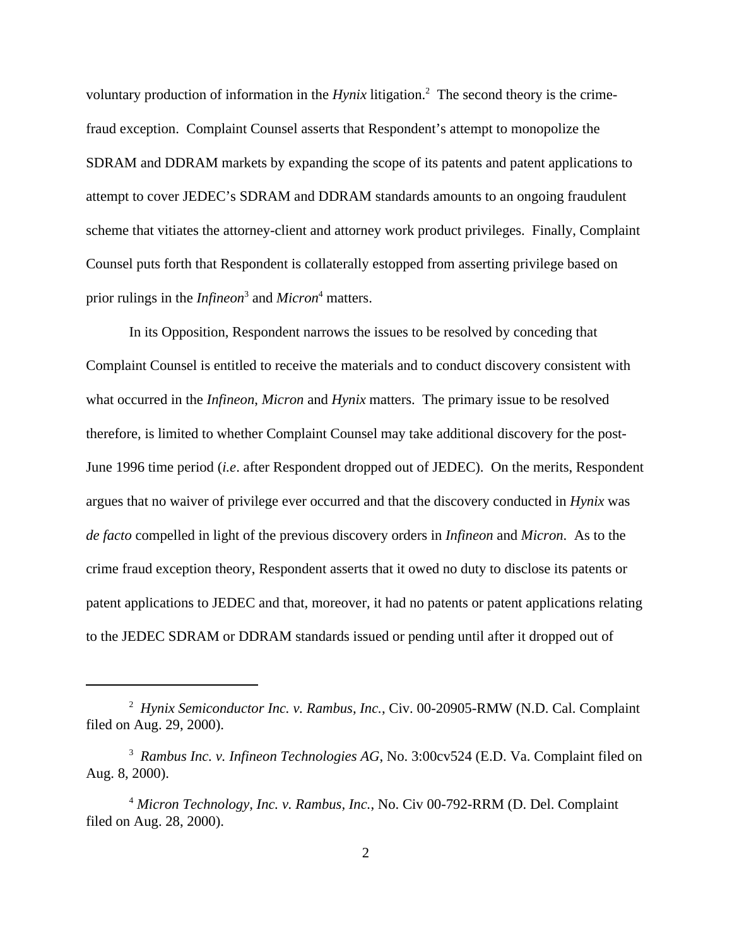voluntary production of information in the *Hynix* litigation.<sup>2</sup> The second theory is the crimefraud exception. Complaint Counsel asserts that Respondent's attempt to monopolize the SDRAM and DDRAM markets by expanding the scope of its patents and patent applications to attempt to cover JEDEC's SDRAM and DDRAM standards amounts to an ongoing fraudulent scheme that vitiates the attorney-client and attorney work product privileges. Finally, Complaint Counsel puts forth that Respondent is collaterally estopped from asserting privilege based on prior rulings in the *Infineon*<sup>3</sup> and *Micron*<sup>4</sup> matters.

In its Opposition, Respondent narrows the issues to be resolved by conceding that Complaint Counsel is entitled to receive the materials and to conduct discovery consistent with what occurred in the *Infineon*, *Micron* and *Hynix* matters. The primary issue to be resolved therefore, is limited to whether Complaint Counsel may take additional discovery for the post-June 1996 time period (*i.e*. after Respondent dropped out of JEDEC). On the merits, Respondent argues that no waiver of privilege ever occurred and that the discovery conducted in *Hynix* was *de facto* compelled in light of the previous discovery orders in *Infineon* and *Micron*. As to the crime fraud exception theory, Respondent asserts that it owed no duty to disclose its patents or patent applications to JEDEC and that, moreover, it had no patents or patent applications relating to the JEDEC SDRAM or DDRAM standards issued or pending until after it dropped out of

<sup>2</sup> *Hynix Semiconductor Inc. v. Rambus, Inc.*, Civ. 00-20905-RMW (N.D. Cal. Complaint filed on Aug. 29, 2000).

<sup>3</sup> *Rambus Inc. v. Infineon Technologies AG*, No. 3:00cv524 (E.D. Va. Complaint filed on Aug. 8, 2000).

<sup>4</sup> *Micron Technology, Inc. v. Rambus, Inc.*, No. Civ 00-792-RRM (D. Del. Complaint filed on Aug. 28, 2000).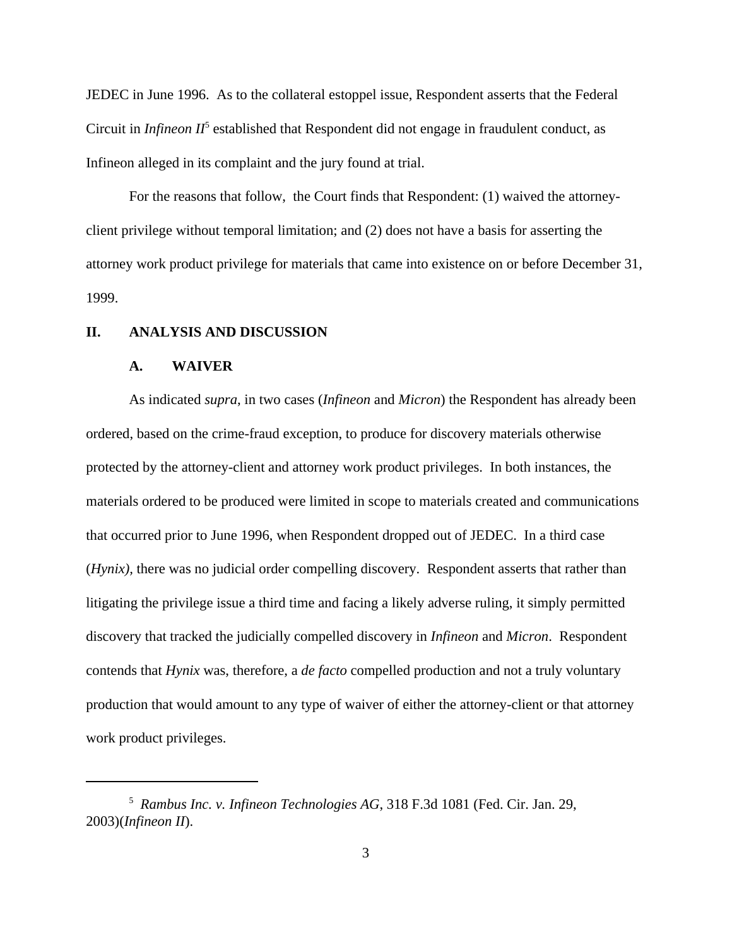JEDEC in June 1996. As to the collateral estoppel issue, Respondent asserts that the Federal Circuit in *Infineon II*<sup>5</sup> established that Respondent did not engage in fraudulent conduct, as Infineon alleged in its complaint and the jury found at trial.

For the reasons that follow, the Court finds that Respondent: (1) waived the attorneyclient privilege without temporal limitation; and (2) does not have a basis for asserting the attorney work product privilege for materials that came into existence on or before December 31, 1999.

#### **II. ANALYSIS AND DISCUSSION**

#### **A. WAIVER**

As indicated *supra*, in two cases (*Infineon* and *Micron*) the Respondent has already been ordered, based on the crime-fraud exception, to produce for discovery materials otherwise protected by the attorney-client and attorney work product privileges. In both instances, the materials ordered to be produced were limited in scope to materials created and communications that occurred prior to June 1996, when Respondent dropped out of JEDEC. In a third case (*Hynix),* there was no judicial order compelling discovery. Respondent asserts that rather than litigating the privilege issue a third time and facing a likely adverse ruling, it simply permitted discovery that tracked the judicially compelled discovery in *Infineon* and *Micron*. Respondent contends that *Hynix* was, therefore, a *de facto* compelled production and not a truly voluntary production that would amount to any type of waiver of either the attorney-client or that attorney work product privileges.

<sup>5</sup> *Rambus Inc. v. Infineon Technologies AG*, 318 F.3d 1081 (Fed. Cir. Jan. 29, 2003)(*Infineon II*).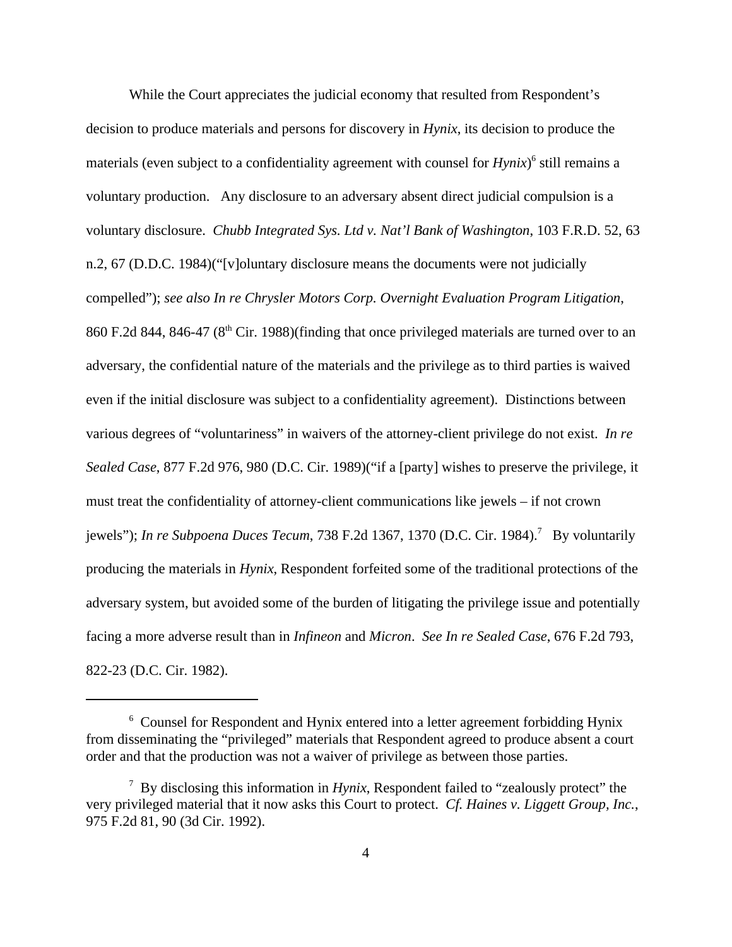While the Court appreciates the judicial economy that resulted from Respondent's decision to produce materials and persons for discovery in *Hynix*, its decision to produce the materials (even subject to a confidentiality agreement with counsel for *Hynix*)<sup>6</sup> still remains a voluntary production. Any disclosure to an adversary absent direct judicial compulsion is a voluntary disclosure. *Chubb Integrated Sys. Ltd v. Nat'l Bank of Washington*, 103 F.R.D. 52, 63 n.2, 67 (D.D.C. 1984)("[v]oluntary disclosure means the documents were not judicially compelled"); *see also In re Chrysler Motors Corp. Overnight Evaluation Program Litigation*, 860 F.2d 844, 846-47 (8<sup>th</sup> Cir. 1988)(finding that once privileged materials are turned over to an adversary, the confidential nature of the materials and the privilege as to third parties is waived even if the initial disclosure was subject to a confidentiality agreement). Distinctions between various degrees of "voluntariness" in waivers of the attorney-client privilege do not exist. *In re Sealed Case*, 877 F.2d 976, 980 (D.C. Cir. 1989)("if a [party] wishes to preserve the privilege, it must treat the confidentiality of attorney-client communications like jewels – if not crown jewels"); *In re Subpoena Duces Tecum*, 738 F.2d 1367, 1370 (D.C. Cir. 1984).<sup>7</sup> By voluntarily producing the materials in *Hynix*, Respondent forfeited some of the traditional protections of the adversary system, but avoided some of the burden of litigating the privilege issue and potentially facing a more adverse result than in *Infineon* and *Micron*. *See In re Sealed Case*, 676 F.2d 793, 822-23 (D.C. Cir. 1982).

<sup>&</sup>lt;sup>6</sup> Counsel for Respondent and Hynix entered into a letter agreement forbidding Hynix from disseminating the "privileged" materials that Respondent agreed to produce absent a court order and that the production was not a waiver of privilege as between those parties.

<sup>7</sup> By disclosing this information in *Hynix*, Respondent failed to "zealously protect" the very privileged material that it now asks this Court to protect. *Cf. Haines v. Liggett Group, Inc.*, 975 F.2d 81, 90 (3d Cir. 1992).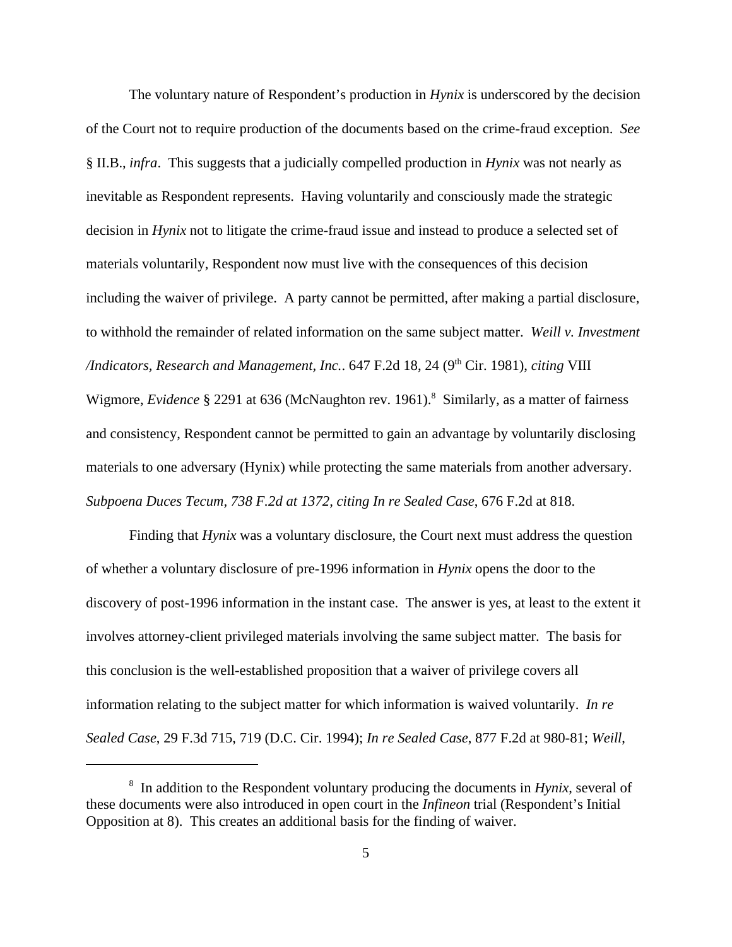The voluntary nature of Respondent's production in *Hynix* is underscored by the decision of the Court not to require production of the documents based on the crime-fraud exception. *See* § II.B., *infra*. This suggests that a judicially compelled production in *Hynix* was not nearly as inevitable as Respondent represents. Having voluntarily and consciously made the strategic decision in *Hynix* not to litigate the crime-fraud issue and instead to produce a selected set of materials voluntarily, Respondent now must live with the consequences of this decision including the waiver of privilege. A party cannot be permitted, after making a partial disclosure, to withhold the remainder of related information on the same subject matter. *Weill v. Investment /Indicators, Research and Management, Inc..* 647 F.2d 18, 24 (9<sup>th</sup> Cir. 1981), *citing* VIII Wigmore, *Evidence* § 2291 at 636 (McNaughton rev. 1961).<sup>8</sup> Similarly, as a matter of fairness and consistency, Respondent cannot be permitted to gain an advantage by voluntarily disclosing materials to one adversary (Hynix) while protecting the same materials from another adversary.

Finding that *Hynix* was a voluntary disclosure, the Court next must address the question of whether a voluntary disclosure of pre-1996 information in *Hynix* opens the door to the discovery of post-1996 information in the instant case. The answer is yes, at least to the extent it involves attorney-client privileged materials involving the same subject matter. The basis for this conclusion is the well-established proposition that a waiver of privilege covers all information relating to the subject matter for which information is waived voluntarily. *In re Sealed Case*, 29 F.3d 715, 719 (D.C. Cir. 1994); *In re Sealed Case*, 877 F.2d at 980-81; *Weill*,

*Subpoena Duces Tecum, 738 F.2d at 1372, citing In re Sealed Case*, 676 F.2d at 818.

8 In addition to the Respondent voluntary producing the documents in *Hynix*, several of these documents were also introduced in open court in the *Infineon* trial (Respondent's Initial Opposition at 8). This creates an additional basis for the finding of waiver.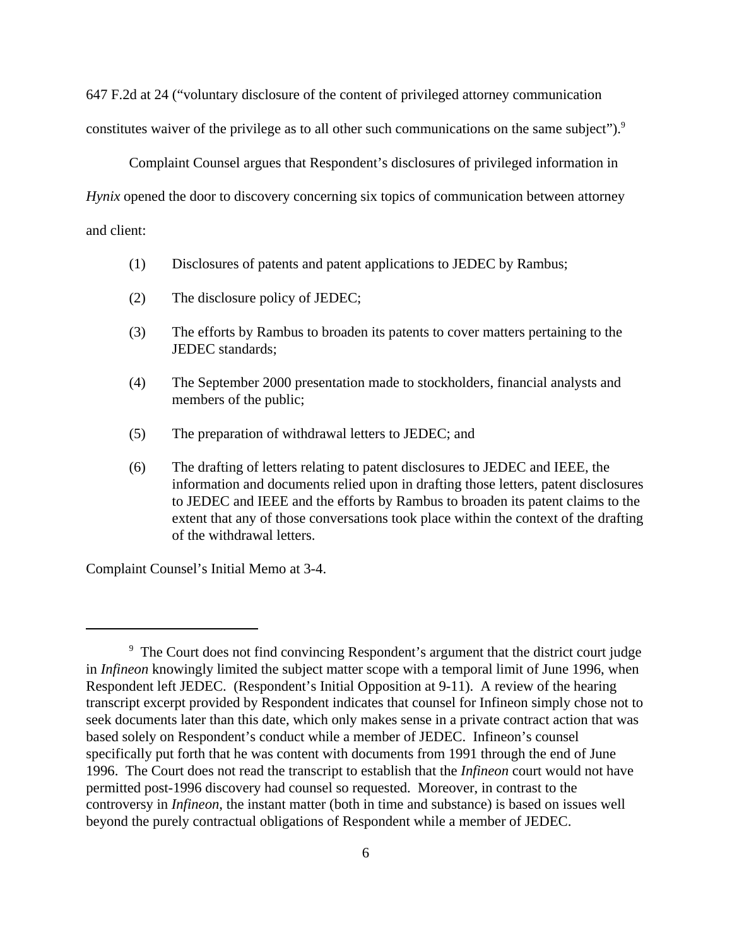647 F.2d at 24 ("voluntary disclosure of the content of privileged attorney communication constitutes waiver of the privilege as to all other such communications on the same subject").<sup>9</sup>

Complaint Counsel argues that Respondent's disclosures of privileged information in *Hynix* opened the door to discovery concerning six topics of communication between attorney and client:

- (1) Disclosures of patents and patent applications to JEDEC by Rambus;
- (2) The disclosure policy of JEDEC;
- (3) The efforts by Rambus to broaden its patents to cover matters pertaining to the JEDEC standards;
- (4) The September 2000 presentation made to stockholders, financial analysts and members of the public;
- (5) The preparation of withdrawal letters to JEDEC; and
- (6) The drafting of letters relating to patent disclosures to JEDEC and IEEE, the information and documents relied upon in drafting those letters, patent disclosures to JEDEC and IEEE and the efforts by Rambus to broaden its patent claims to the extent that any of those conversations took place within the context of the drafting of the withdrawal letters.

Complaint Counsel's Initial Memo at 3-4.

<sup>&</sup>lt;sup>9</sup> The Court does not find convincing Respondent's argument that the district court judge in *Infineon* knowingly limited the subject matter scope with a temporal limit of June 1996, when Respondent left JEDEC. (Respondent's Initial Opposition at 9-11). A review of the hearing transcript excerpt provided by Respondent indicates that counsel for Infineon simply chose not to seek documents later than this date, which only makes sense in a private contract action that was based solely on Respondent's conduct while a member of JEDEC. Infineon's counsel specifically put forth that he was content with documents from 1991 through the end of June 1996. The Court does not read the transcript to establish that the *Infineon* court would not have permitted post-1996 discovery had counsel so requested. Moreover, in contrast to the controversy in *Infineon*, the instant matter (both in time and substance) is based on issues well beyond the purely contractual obligations of Respondent while a member of JEDEC.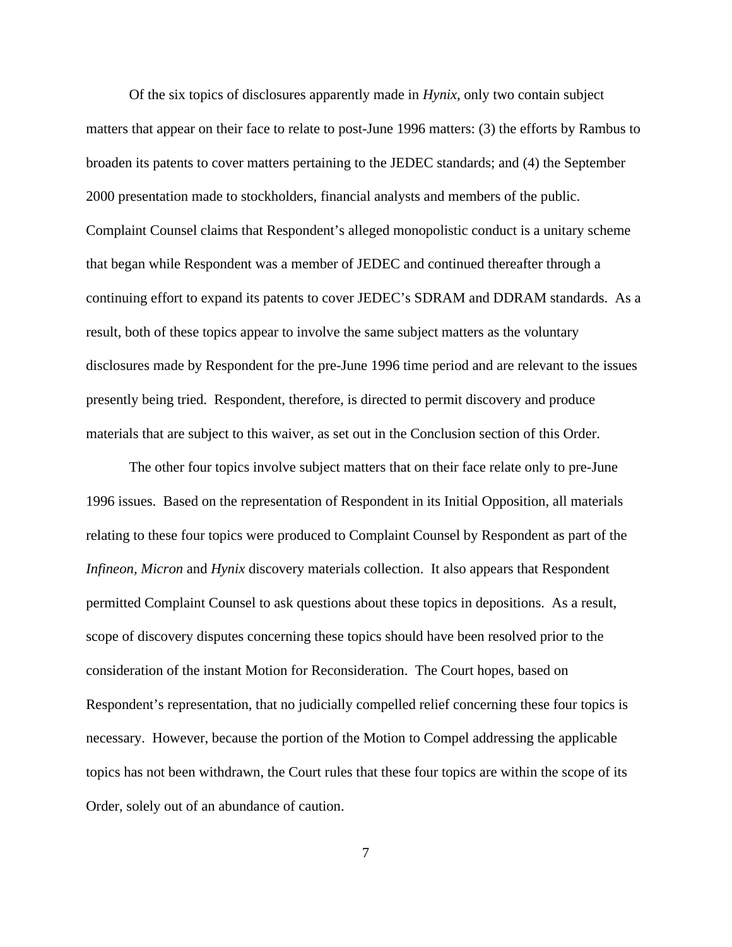Of the six topics of disclosures apparently made in *Hynix*, only two contain subject matters that appear on their face to relate to post-June 1996 matters: (3) the efforts by Rambus to broaden its patents to cover matters pertaining to the JEDEC standards; and (4) the September 2000 presentation made to stockholders, financial analysts and members of the public. Complaint Counsel claims that Respondent's alleged monopolistic conduct is a unitary scheme that began while Respondent was a member of JEDEC and continued thereafter through a continuing effort to expand its patents to cover JEDEC's SDRAM and DDRAM standards. As a result, both of these topics appear to involve the same subject matters as the voluntary disclosures made by Respondent for the pre-June 1996 time period and are relevant to the issues presently being tried. Respondent, therefore, is directed to permit discovery and produce materials that are subject to this waiver, as set out in the Conclusion section of this Order.

The other four topics involve subject matters that on their face relate only to pre-June 1996 issues. Based on the representation of Respondent in its Initial Opposition, all materials relating to these four topics were produced to Complaint Counsel by Respondent as part of the *Infineon, Micron* and *Hynix* discovery materials collection. It also appears that Respondent permitted Complaint Counsel to ask questions about these topics in depositions. As a result, scope of discovery disputes concerning these topics should have been resolved prior to the consideration of the instant Motion for Reconsideration. The Court hopes, based on Respondent's representation, that no judicially compelled relief concerning these four topics is necessary. However, because the portion of the Motion to Compel addressing the applicable topics has not been withdrawn, the Court rules that these four topics are within the scope of its Order, solely out of an abundance of caution.

7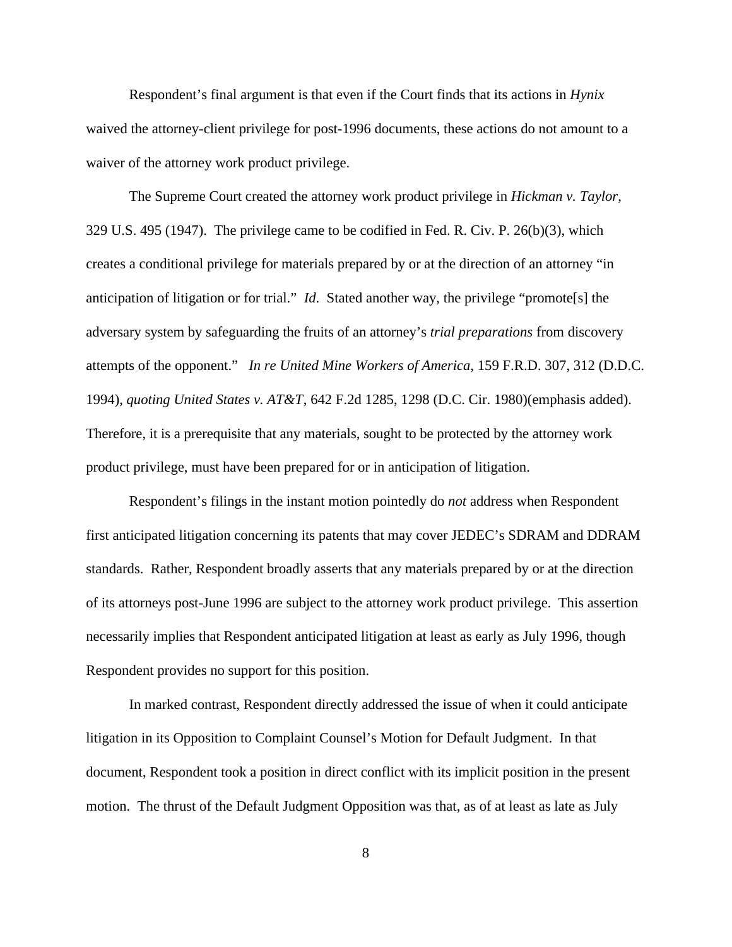Respondent's final argument is that even if the Court finds that its actions in *Hynix* waived the attorney-client privilege for post-1996 documents, these actions do not amount to a waiver of the attorney work product privilege.

The Supreme Court created the attorney work product privilege in *Hickman v. Taylor*, 329 U.S. 495 (1947). The privilege came to be codified in Fed. R. Civ. P. 26(b)(3), which creates a conditional privilege for materials prepared by or at the direction of an attorney "in anticipation of litigation or for trial." *Id*. Stated another way, the privilege "promote[s] the adversary system by safeguarding the fruits of an attorney's *trial preparations* from discovery attempts of the opponent." *In re United Mine Workers of America*, 159 F.R.D. 307, 312 (D.D.C. 1994), *quoting United States v. AT&T*, 642 F.2d 1285, 1298 (D.C. Cir. 1980)(emphasis added). Therefore, it is a prerequisite that any materials, sought to be protected by the attorney work product privilege, must have been prepared for or in anticipation of litigation.

Respondent's filings in the instant motion pointedly do *not* address when Respondent first anticipated litigation concerning its patents that may cover JEDEC's SDRAM and DDRAM standards. Rather, Respondent broadly asserts that any materials prepared by or at the direction of its attorneys post-June 1996 are subject to the attorney work product privilege. This assertion necessarily implies that Respondent anticipated litigation at least as early as July 1996, though Respondent provides no support for this position.

In marked contrast, Respondent directly addressed the issue of when it could anticipate litigation in its Opposition to Complaint Counsel's Motion for Default Judgment. In that document, Respondent took a position in direct conflict with its implicit position in the present motion. The thrust of the Default Judgment Opposition was that, as of at least as late as July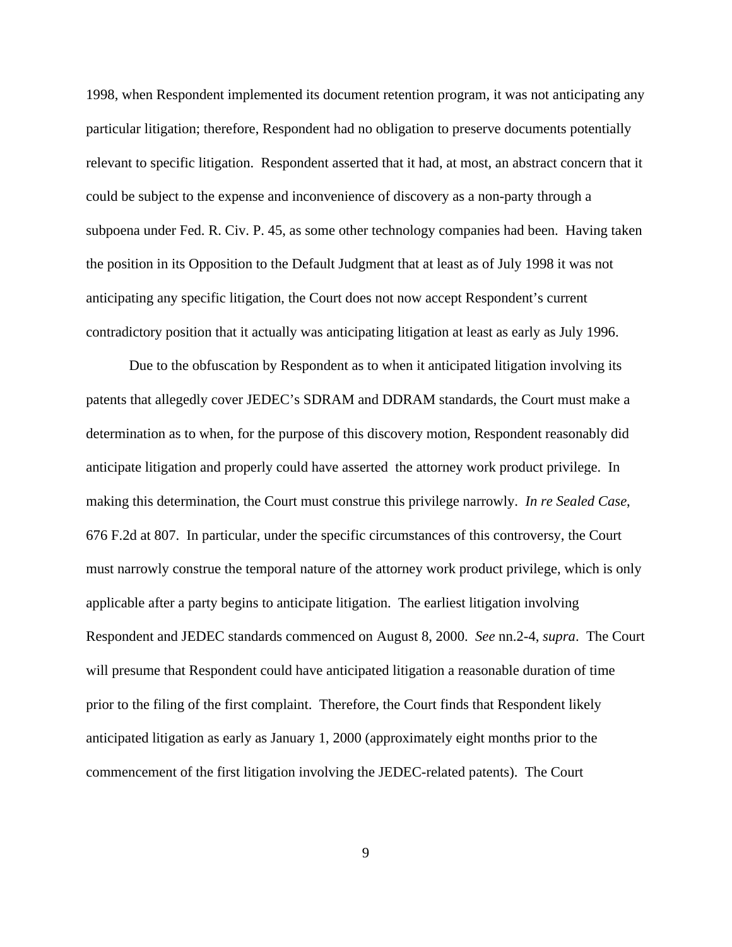1998, when Respondent implemented its document retention program, it was not anticipating any particular litigation; therefore, Respondent had no obligation to preserve documents potentially relevant to specific litigation. Respondent asserted that it had, at most, an abstract concern that it could be subject to the expense and inconvenience of discovery as a non-party through a subpoena under Fed. R. Civ. P. 45, as some other technology companies had been. Having taken the position in its Opposition to the Default Judgment that at least as of July 1998 it was not anticipating any specific litigation, the Court does not now accept Respondent's current contradictory position that it actually was anticipating litigation at least as early as July 1996.

Due to the obfuscation by Respondent as to when it anticipated litigation involving its patents that allegedly cover JEDEC's SDRAM and DDRAM standards, the Court must make a determination as to when, for the purpose of this discovery motion, Respondent reasonably did anticipate litigation and properly could have asserted the attorney work product privilege. In making this determination, the Court must construe this privilege narrowly. *In re Sealed Case*, 676 F.2d at 807. In particular, under the specific circumstances of this controversy, the Court must narrowly construe the temporal nature of the attorney work product privilege, which is only applicable after a party begins to anticipate litigation. The earliest litigation involving Respondent and JEDEC standards commenced on August 8, 2000. *See* nn.2-4, *supra*. The Court will presume that Respondent could have anticipated litigation a reasonable duration of time prior to the filing of the first complaint. Therefore, the Court finds that Respondent likely anticipated litigation as early as January 1, 2000 (approximately eight months prior to the commencement of the first litigation involving the JEDEC-related patents). The Court

9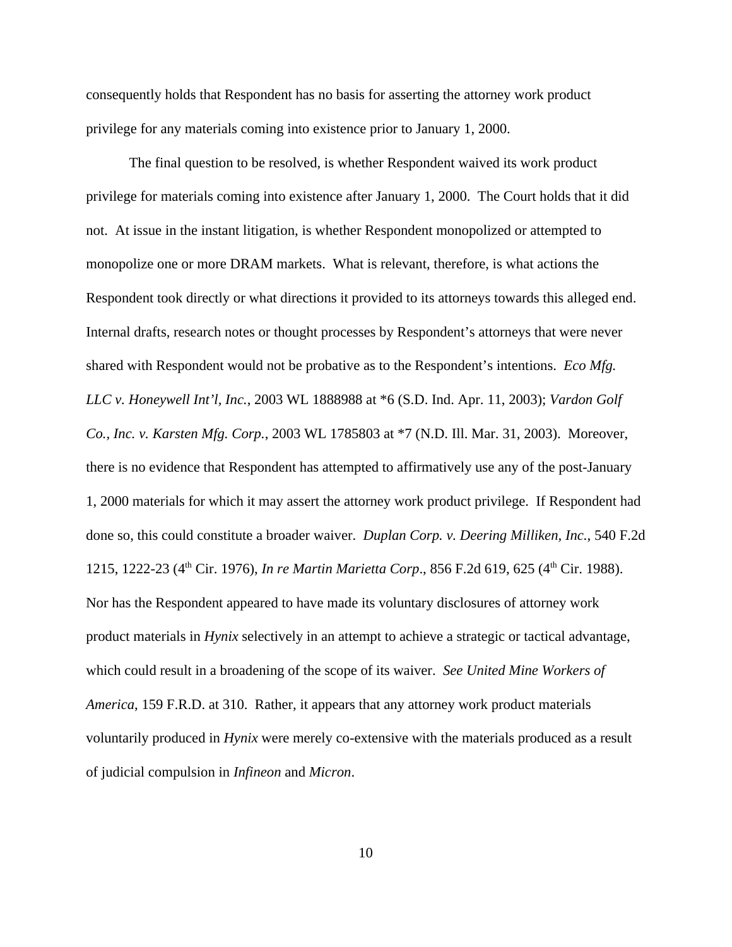consequently holds that Respondent has no basis for asserting the attorney work product privilege for any materials coming into existence prior to January 1, 2000.

The final question to be resolved, is whether Respondent waived its work product privilege for materials coming into existence after January 1, 2000. The Court holds that it did not. At issue in the instant litigation, is whether Respondent monopolized or attempted to monopolize one or more DRAM markets. What is relevant, therefore, is what actions the Respondent took directly or what directions it provided to its attorneys towards this alleged end. Internal drafts, research notes or thought processes by Respondent's attorneys that were never shared with Respondent would not be probative as to the Respondent's intentions. *Eco Mfg. LLC v. Honeywell Int'l, Inc.*, 2003 WL 1888988 at \*6 (S.D. Ind. Apr. 11, 2003); *Vardon Golf Co., Inc. v. Karsten Mfg. Corp.*, 2003 WL 1785803 at \*7 (N.D. Ill. Mar. 31, 2003). Moreover, there is no evidence that Respondent has attempted to affirmatively use any of the post-January 1, 2000 materials for which it may assert the attorney work product privilege. If Respondent had done so, this could constitute a broader waiver. *Duplan Corp. v. Deering Milliken, Inc.*, 540 F.2d 1215, 1222-23 (4<sup>th</sup> Cir. 1976), *In re Martin Marietta Corp.*, 856 F.2d 619, 625 (4<sup>th</sup> Cir. 1988). Nor has the Respondent appeared to have made its voluntary disclosures of attorney work product materials in *Hynix* selectively in an attempt to achieve a strategic or tactical advantage, which could result in a broadening of the scope of its waiver. *See United Mine Workers of America*, 159 F.R.D. at 310. Rather, it appears that any attorney work product materials voluntarily produced in *Hynix* were merely co-extensive with the materials produced as a result of judicial compulsion in *Infineon* and *Micron*.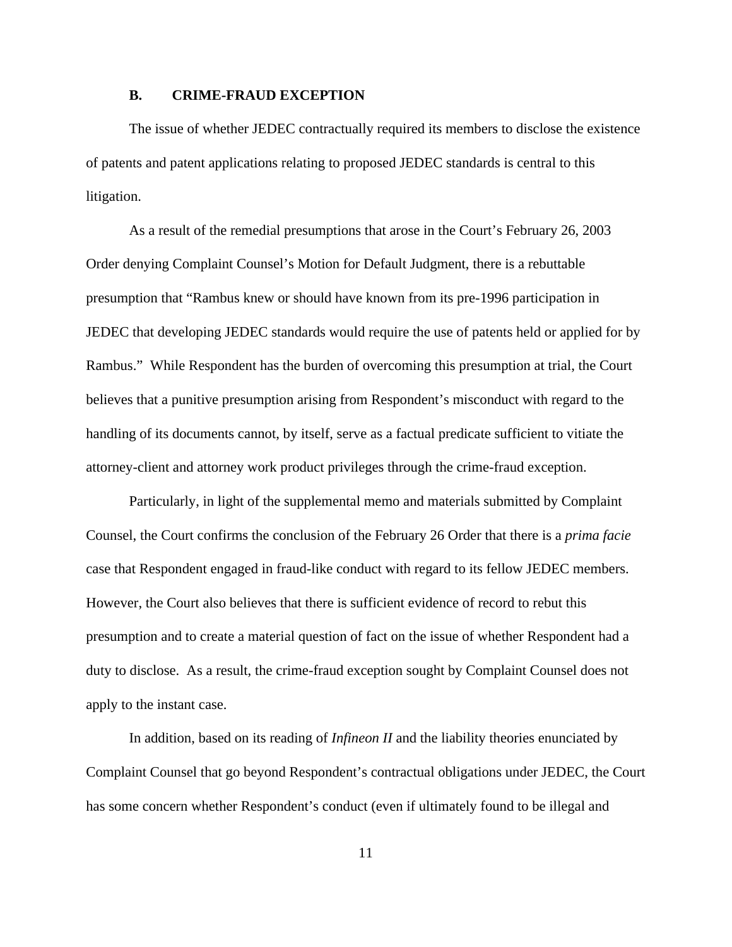#### **B. CRIME-FRAUD EXCEPTION**

The issue of whether JEDEC contractually required its members to disclose the existence of patents and patent applications relating to proposed JEDEC standards is central to this litigation.

As a result of the remedial presumptions that arose in the Court's February 26, 2003 Order denying Complaint Counsel's Motion for Default Judgment, there is a rebuttable presumption that "Rambus knew or should have known from its pre-1996 participation in JEDEC that developing JEDEC standards would require the use of patents held or applied for by Rambus." While Respondent has the burden of overcoming this presumption at trial, the Court believes that a punitive presumption arising from Respondent's misconduct with regard to the handling of its documents cannot, by itself, serve as a factual predicate sufficient to vitiate the attorney-client and attorney work product privileges through the crime-fraud exception.

Particularly, in light of the supplemental memo and materials submitted by Complaint Counsel, the Court confirms the conclusion of the February 26 Order that there is a *prima facie* case that Respondent engaged in fraud-like conduct with regard to its fellow JEDEC members. However, the Court also believes that there is sufficient evidence of record to rebut this presumption and to create a material question of fact on the issue of whether Respondent had a duty to disclose. As a result, the crime-fraud exception sought by Complaint Counsel does not apply to the instant case.

In addition, based on its reading of *Infineon II* and the liability theories enunciated by Complaint Counsel that go beyond Respondent's contractual obligations under JEDEC, the Court has some concern whether Respondent's conduct (even if ultimately found to be illegal and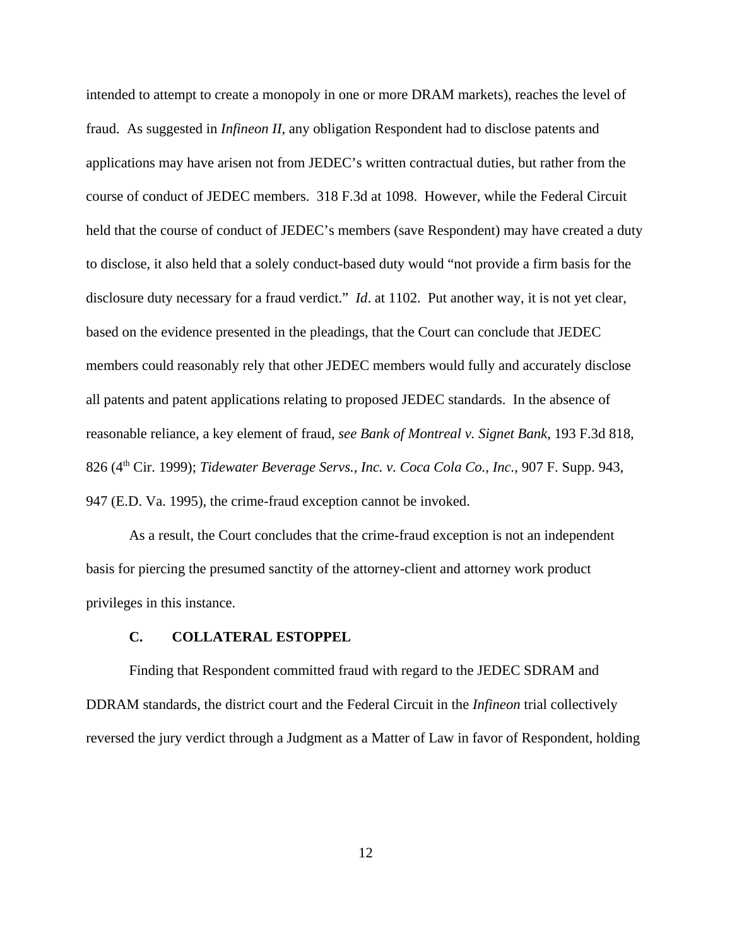intended to attempt to create a monopoly in one or more DRAM markets), reaches the level of fraud. As suggested in *Infineon II*, any obligation Respondent had to disclose patents and applications may have arisen not from JEDEC's written contractual duties, but rather from the course of conduct of JEDEC members. 318 F.3d at 1098. However, while the Federal Circuit held that the course of conduct of JEDEC's members (save Respondent) may have created a duty to disclose, it also held that a solely conduct-based duty would "not provide a firm basis for the disclosure duty necessary for a fraud verdict." *Id*. at 1102. Put another way, it is not yet clear, based on the evidence presented in the pleadings, that the Court can conclude that JEDEC members could reasonably rely that other JEDEC members would fully and accurately disclose all patents and patent applications relating to proposed JEDEC standards. In the absence of reasonable reliance, a key element of fraud, *see Bank of Montreal v. Signet Bank*, 193 F.3d 818, 826 (4th Cir. 1999); *Tidewater Beverage Servs., Inc. v. Coca Cola Co., Inc.*, 907 F. Supp. 943, 947 (E.D. Va. 1995), the crime-fraud exception cannot be invoked.

As a result, the Court concludes that the crime-fraud exception is not an independent basis for piercing the presumed sanctity of the attorney-client and attorney work product privileges in this instance.

### **C. COLLATERAL ESTOPPEL**

Finding that Respondent committed fraud with regard to the JEDEC SDRAM and DDRAM standards, the district court and the Federal Circuit in the *Infineon* trial collectively reversed the jury verdict through a Judgment as a Matter of Law in favor of Respondent, holding

12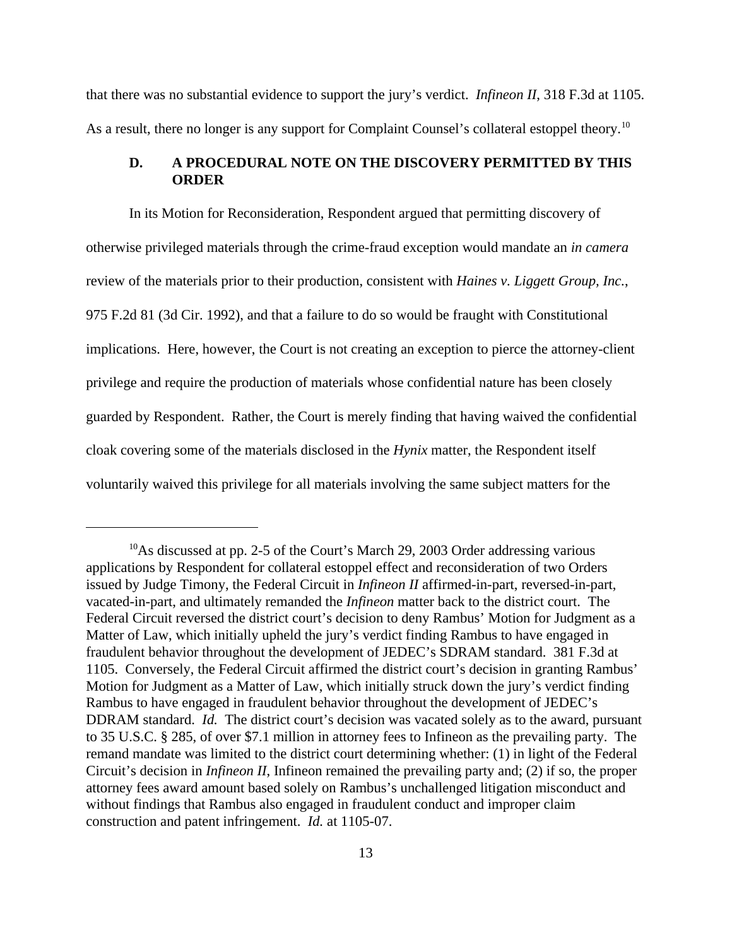that there was no substantial evidence to support the jury's verdict. *Infineon II*, 318 F.3d at 1105. As a result, there no longer is any support for Complaint Counsel's collateral estoppel theory.<sup>10</sup>

### **D. A PROCEDURAL NOTE ON THE DISCOVERY PERMITTED BY THIS ORDER**

In its Motion for Reconsideration, Respondent argued that permitting discovery of otherwise privileged materials through the crime-fraud exception would mandate an *in camera* review of the materials prior to their production, consistent with *Haines v. Liggett Group, Inc.*, 975 F.2d 81 (3d Cir. 1992), and that a failure to do so would be fraught with Constitutional implications. Here, however, the Court is not creating an exception to pierce the attorney-client privilege and require the production of materials whose confidential nature has been closely guarded by Respondent. Rather, the Court is merely finding that having waived the confidential cloak covering some of the materials disclosed in the *Hynix* matter, the Respondent itself voluntarily waived this privilege for all materials involving the same subject matters for the

<sup>&</sup>lt;sup>10</sup>As discussed at pp. 2-5 of the Court's March 29, 2003 Order addressing various applications by Respondent for collateral estoppel effect and reconsideration of two Orders issued by Judge Timony, the Federal Circuit in *Infineon II* affirmed-in-part, reversed-in-part, vacated-in-part, and ultimately remanded the *Infineon* matter back to the district court. The Federal Circuit reversed the district court's decision to deny Rambus' Motion for Judgment as a Matter of Law, which initially upheld the jury's verdict finding Rambus to have engaged in fraudulent behavior throughout the development of JEDEC's SDRAM standard. 381 F.3d at 1105. Conversely, the Federal Circuit affirmed the district court's decision in granting Rambus' Motion for Judgment as a Matter of Law, which initially struck down the jury's verdict finding Rambus to have engaged in fraudulent behavior throughout the development of JEDEC's DDRAM standard. *Id.* The district court's decision was vacated solely as to the award, pursuant to 35 U.S.C. § 285, of over \$7.1 million in attorney fees to Infineon as the prevailing party. The remand mandate was limited to the district court determining whether: (1) in light of the Federal Circuit's decision in *Infineon II*, Infineon remained the prevailing party and; (2) if so, the proper attorney fees award amount based solely on Rambus's unchallenged litigation misconduct and without findings that Rambus also engaged in fraudulent conduct and improper claim construction and patent infringement. *Id.* at 1105-07.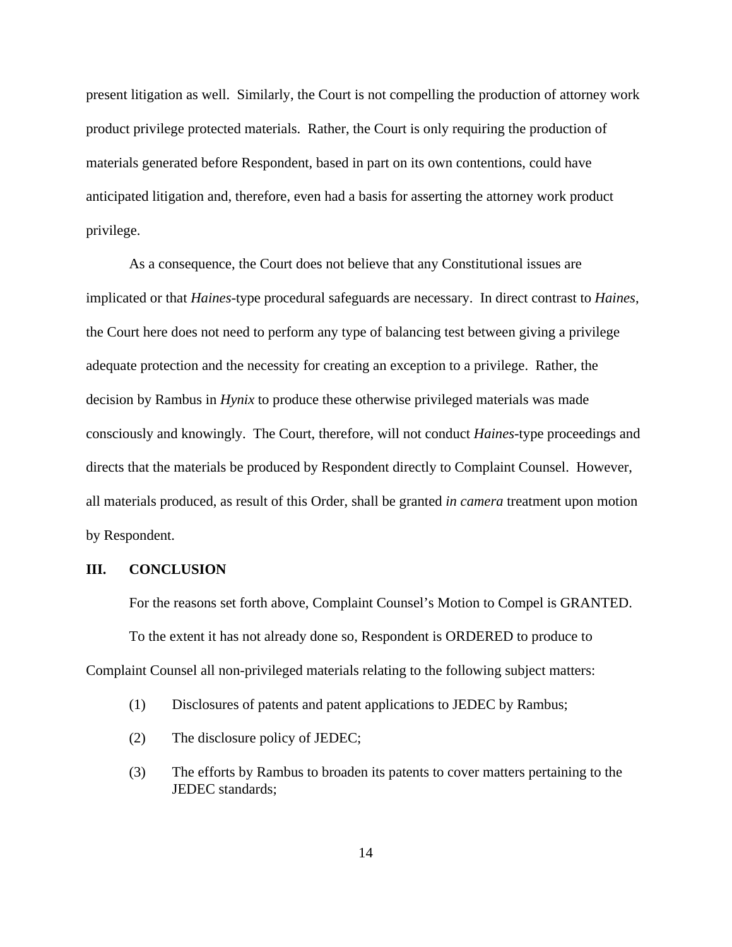present litigation as well. Similarly, the Court is not compelling the production of attorney work product privilege protected materials. Rather, the Court is only requiring the production of materials generated before Respondent, based in part on its own contentions, could have anticipated litigation and, therefore, even had a basis for asserting the attorney work product privilege.

As a consequence, the Court does not believe that any Constitutional issues are implicated or that *Haines*-type procedural safeguards are necessary. In direct contrast to *Haines*, the Court here does not need to perform any type of balancing test between giving a privilege adequate protection and the necessity for creating an exception to a privilege. Rather, the decision by Rambus in *Hynix* to produce these otherwise privileged materials was made consciously and knowingly. The Court, therefore, will not conduct *Haines*-type proceedings and directs that the materials be produced by Respondent directly to Complaint Counsel. However, all materials produced, as result of this Order, shall be granted *in camera* treatment upon motion by Respondent.

### **III. CONCLUSION**

For the reasons set forth above, Complaint Counsel's Motion to Compel is GRANTED. To the extent it has not already done so, Respondent is ORDERED to produce to Complaint Counsel all non-privileged materials relating to the following subject matters:

- (1) Disclosures of patents and patent applications to JEDEC by Rambus;
- (2) The disclosure policy of JEDEC;
- (3) The efforts by Rambus to broaden its patents to cover matters pertaining to the JEDEC standards;